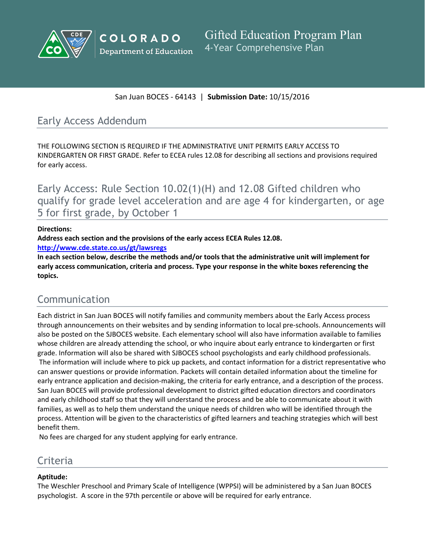



San Juan BOCES - 64143 | **Submission Date:** 10/15/2016

## Early Access Addendum

THE FOLLOWING SECTION IS REQUIRED IF THE ADMINISTRATIVE UNIT PERMITS EARLY ACCESS TO KINDERGARTEN OR FIRST GRADE. Refer to ECEA rules 12.08 for describing all sections and provisions required for early access.

Early Access: Rule Section 10.02(1)(H) and 12.08 Gifted children who qualify for grade level acceleration and are age 4 for kindergarten, or age 5 for first grade, by October 1

#### **Directions:**

**Address each section and the provisions of the early access ECEA Rules 12.08.**

**<http://www.cde.state.co.us/gt/lawsregs>**

**In each section below, describe the methods and/or tools that the administrative unit will implement for early access communication, criteria and process. Type your response in the white boxes referencing the topics.**

## Communication

Each district in San Juan BOCES will notify families and community members about the Early Access process through announcements on their websites and by sending information to local pre-schools. Announcements will also be posted on the SJBOCES website. Each elementary school will also have information available to families whose children are already attending the school, or who inquire about early entrance to kindergarten or first grade. Information will also be shared with SJBOCES school psychologists and early childhood professionals. The information will include where to pick up packets, and contact information for a district representative who can answer questions or provide information. Packets will contain detailed information about the timeline for early entrance application and decision-making, the criteria for early entrance, and a description of the process. San Juan BOCES will provide professional development to district gifted education directors and coordinators and early childhood staff so that they will understand the process and be able to communicate about it with families, as well as to help them understand the unique needs of children who will be identified through the process. Attention will be given to the characteristics of gifted learners and teaching strategies which will best benefit them.

No fees are charged for any student applying for early entrance.

# Criteria

### **Aptitude:**

The Weschler Preschool and Primary Scale of Intelligence (WPPSI) will be administered by a San Juan BOCES psychologist. A score in the 97th percentile or above will be required for early entrance.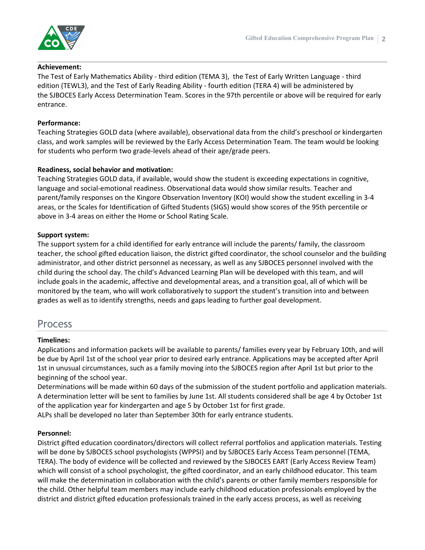

#### **Achievement:**

The Test of Early Mathematics Ability - third edition (TEMA 3), the Test of Early Written Language - third edition (TEWL3), and the Test of Early Reading Ability - fourth edition (TERA 4) will be administered by the SJBOCES Early Access Determination Team. Scores in the 97th percentile or above will be required for early entrance.

#### **Performance:**

Teaching Strategies GOLD data (where available), observational data from the child's preschool or kindergarten class, and work samples will be reviewed by the Early Access Determination Team. The team would be looking for students who perform two grade-levels ahead of their age/grade peers.

#### **Readiness, social behavior and motivation:**

Teaching Strategies GOLD data, if available, would show the student is exceeding expectations in cognitive, language and social-emotional readiness. Observational data would show similar results. Teacher and parent/family responses on the Kingore Observation Inventory (KOI) would show the student excelling in 3-4 areas, or the Scales for Identification of Gifted Students (SIGS) would show scores of the 95th percentile or above in 3-4 areas on either the Home or School Rating Scale.

#### **Support system:**

The support system for a child identified for early entrance will include the parents/ family, the classroom teacher, the school gifted education liaison, the district gifted coordinator, the school counselor and the building administrator, and other district personnel as necessary, as well as any SJBOCES personnel involved with the child during the school day. The child's Advanced Learning Plan will be developed with this team, and will include goals in the academic, affective and developmental areas, and a transition goal, all of which will be monitored by the team, who will work collaboratively to support the student's transition into and between grades as well as to identify strengths, needs and gaps leading to further goal development.

### Process

#### **Timelines:**

Applications and information packets will be available to parents/ families every year by February 10th, and will be due by April 1st of the school year prior to desired early entrance. Applications may be accepted after April 1st in unusual circumstances, such as a family moving into the SJBOCES region after April 1st but prior to the beginning of the school year.

Determinations will be made within 60 days of the submission of the student portfolio and application materials. A determination letter will be sent to families by June 1st. All students considered shall be age 4 by October 1st of the application year for kindergarten and age 5 by October 1st for first grade.

ALPs shall be developed no later than September 30th for early entrance students.

#### **Personnel:**

District gifted education coordinators/directors will collect referral portfolios and application materials. Testing will be done by SJBOCES school psychologists (WPPSI) and by SJBOCES Early Access Team personnel (TEMA, TERA). The body of evidence will be collected and reviewed by the SJBOCES EART (Early Access Review Team) which will consist of a school psychologist, the gifted coordinator, and an early childhood educator. This team will make the determination in collaboration with the child's parents or other family members responsible for the child. Other helpful team members may include early childhood education professionals employed by the district and district gifted education professionals trained in the early access process, as well as receiving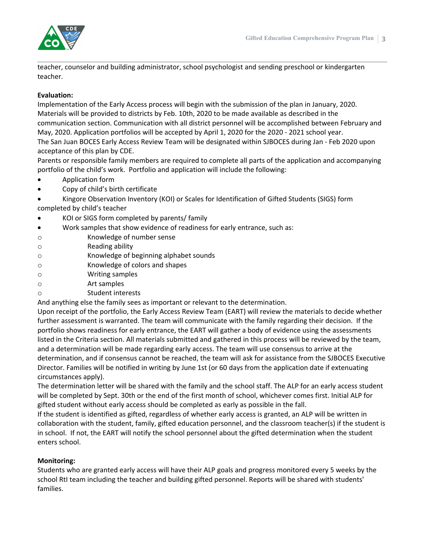

teacher, counselor and building administrator, school psychologist and sending preschool or kindergarten teacher.

#### **Evaluation:**

Implementation of the Early Access process will begin with the submission of the plan in January, 2020. Materials will be provided to districts by Feb. 10th, 2020 to be made available as described in the communication section. Communication with all district personnel will be accomplished between February and May, 2020. Application portfolios will be accepted by April 1, 2020 for the 2020 - 2021 school year.

The San Juan BOCES Early Access Review Team will be designated within SJBOCES during Jan - Feb 2020 upon acceptance of this plan by CDE.

Parents or responsible family members are required to complete all parts of the application and accompanying portfolio of the child's work. Portfolio and application will include the following:

- Application form
- Copy of child's birth certificate
- Kingore Observation Inventory (KOI) or Scales for Identification of Gifted Students (SIGS) form completed by child's teacher
- KOI or SIGS form completed by parents/ family
- Work samples that show evidence of readiness for early entrance, such as:
- o Knowledge of number sense
- o Reading ability
- o Knowledge of beginning alphabet sounds
- o Knowledge of colors and shapes
- o Writing samples
- o Art samples
- o Student interests

And anything else the family sees as important or relevant to the determination.

Upon receipt of the portfolio, the Early Access Review Team (EART) will review the materials to decide whether further assessment is warranted. The team will communicate with the family regarding their decision. If the portfolio shows readiness for early entrance, the EART will gather a body of evidence using the assessments listed in the Criteria section. All materials submitted and gathered in this process will be reviewed by the team, and a determination will be made regarding early access. The team will use consensus to arrive at the determination, and if consensus cannot be reached, the team will ask for assistance from the SJBOCES Executive Director. Families will be notified in writing by June 1st (or 60 days from the application date if extenuating circumstances apply).

The determination letter will be shared with the family and the school staff. The ALP for an early access student will be completed by Sept. 30th or the end of the first month of school, whichever comes first. Initial ALP for gifted student without early access should be completed as early as possible in the fall.

If the student is identified as gifted, regardless of whether early access is granted, an ALP will be written in collaboration with the student, family, gifted education personnel, and the classroom teacher(s) if the student is in school. If not, the EART will notify the school personnel about the gifted determination when the student enters school.

#### **Monitoring:**

Students who are granted early access will have their ALP goals and progress monitored every 5 weeks by the school RtI team including the teacher and building gifted personnel. Reports will be shared with students' families.